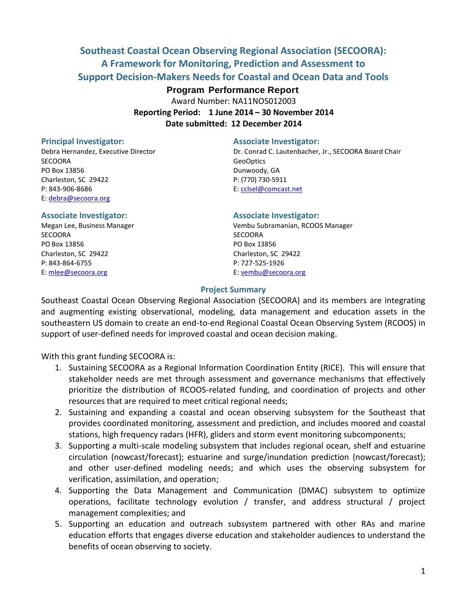# **Southeast Coastal Ocean Observing Regional Association (SECOORA): A Framework for Monitoring, Prediction and Assessment to Support Decision-Makers Needs for Coastal and Ocean Data and Tools**

# **Program Performance Report**

Award Number: NA11NOS012003 **Reporting Period: 1 June 2014 – 30 November 2014**

**Date submitted: 12 December 2014**

SECOORA GeoOptics and the contract of the contract of the contract of the contract of the contract of the contract of the contract of the contract of the contract of the contract of the contract of the contract of the cont PO Box 13856 Dunwoody, GA Charleston, SC 29422 P: (770) 730-5911 P: 843-906-8686 E: [cclsel@comcast.net](mailto:cclsel@comcast.net) E: [debra@secoora.org](mailto:debra@secoora.org)

SECOORA SECOORA PO Box 13856 PO Box 13856 Charleston, SC 29422 Charleston, SC 29422 P: 843-864-6755 P: 727-525-1926 E[: mlee@secoora.org](mailto:mlee@secoora.org) E: [vembu@secoora.org](mailto:vembu@secoora.org)

#### **Principal Investigator: Associate Investigator:**

Debra Hernandez, Executive Director Dr. Conrad C. Lautenbacher, Jr., SECOORA Board Chair

#### **Associate Investigator: Associate Investigator:**

Megan Lee, Business Manager Vembu Subramanian, RCOOS Manager

#### **Project Summary**

Southeast Coastal Ocean Observing Regional Association (SECOORA) and its members are integrating and augmenting existing observational, modeling, data management and education assets in the southeastern US domain to create an end-to-end Regional Coastal Ocean Observing System (RCOOS) in support of user-defined needs for improved coastal and ocean decision making.

With this grant funding SECOORA is:

- 1. Sustaining SECOORA as a Regional Information Coordination Entity (RICE). This will ensure that stakeholder needs are met through assessment and governance mechanisms that effectively prioritize the distribution of RCOOS-related funding, and coordination of projects and other resources that are required to meet critical regional needs;
- 2. Sustaining and expanding a coastal and ocean observing subsystem for the Southeast that provides coordinated monitoring, assessment and prediction, and includes moored and coastal stations, high frequency radars (HFR), gliders and storm event monitoring subcomponents;
- 3. Supporting a multi-scale modeling subsystem that includes regional ocean, shelf and estuarine circulation (nowcast/forecast); estuarine and surge/inundation prediction (nowcast/forecast); and other user-defined modeling needs; and which uses the observing subsystem for verification, assimilation, and operation;
- 4. Supporting the Data Management and Communication (DMAC) subsystem to optimize operations, facilitate technology evolution / transfer, and address structural / project management complexities; and
- 5. Supporting an education and outreach subsystem partnered with other RAs and marine education efforts that engages diverse education and stakeholder audiences to understand the benefits of ocean observing to society.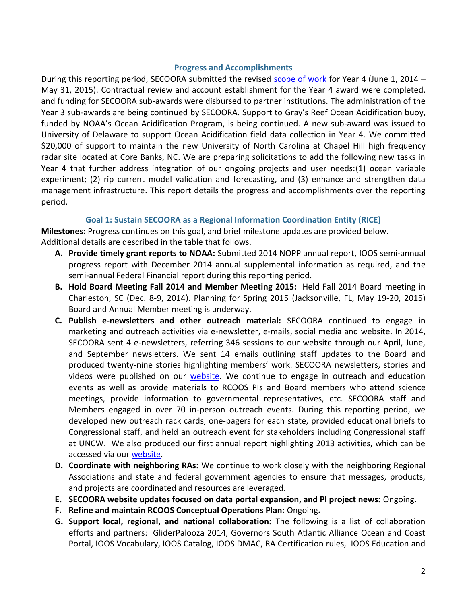### **Progress and Accomplishments**

During this reporting period, SECOORA submitted the revised [scope of work](http://secoora.org/webfm_send/1219) for Year 4 (June 1, 2014 – May 31, 2015). Contractual review and account establishment for the Year 4 award were completed, and funding for SECOORA sub-awards were disbursed to partner institutions. The administration of the Year 3 sub-awards are being continued by SECOORA. Support to Gray's Reef Ocean Acidification buoy, funded by NOAA's Ocean Acidification Program, is being continued. A new sub-award was issued to University of Delaware to support Ocean Acidification field data collection in Year 4. We committed \$20,000 of support to maintain the new University of North Carolina at Chapel Hill high frequency radar site located at Core Banks, NC. We are preparing solicitations to add the following new tasks in Year 4 that further address integration of our ongoing projects and user needs:(1) ocean variable experiment; (2) rip current model validation and forecasting, and (3) enhance and strengthen data management infrastructure. This report details the progress and accomplishments over the reporting period.

# **Goal 1: Sustain SECOORA as a Regional Information Coordination Entity (RICE)**

**Milestones:** Progress continues on this goal, and brief milestone updates are provided below. Additional details are described in the table that follows.

- **A. Provide timely grant reports to NOAA:** Submitted 2014 NOPP annual report, IOOS semi-annual progress report with December 2014 annual supplemental information as required, and the semi-annual Federal Financial report during this reporting period.
- **B. Hold Board Meeting Fall 2014 and Member Meeting 2015:** Held Fall 2014 Board meeting in Charleston, SC (Dec. 8-9, 2014). Planning for Spring 2015 (Jacksonville, FL, May 19-20, 2015) Board and Annual Member meeting is underway.
- **C. Publish e-newsletters and other outreach material:** SECOORA continued to engage in marketing and outreach activities via e-newsletter, e-mails, social media and website. In 2014, SECOORA sent 4 e-newsletters, referring 346 sessions to our website through our April, June, and September newsletters. We sent 14 emails outlining staff updates to the Board and produced twenty-nine stories highlighting members' work. SECOORA newsletters, stories and videos were published on our [website.](http://secoora.org/news) We continue to engage in outreach and education events as well as provide materials to RCOOS PIs and Board members who attend science meetings, provide information to governmental representatives, etc. SECOORA staff and Members engaged in over 70 in-person outreach events. During this reporting period, we developed new outreach rack cards, one-pagers for each state, provided educational briefs to Congressional staff, and held an outreach event for stakeholders including Congressional staff at UNCW. We also produced our first annual report highlighting 2013 activities, which can be accessed via our [website.](http://secoora.org/members/frequent_docs)
- **D. Coordinate with neighboring RAs:** We continue to work closely with the neighboring Regional Associations and state and federal government agencies to ensure that messages, products, and projects are coordinated and resources are leveraged.
- **E. SECOORA website updates focused on data portal expansion, and PI project news:** Ongoing.
- **F. Refine and maintain RCOOS Conceptual Operations Plan:** Ongoing**.**
- **G. Support local, regional, and national collaboration:** The following is a list of collaboration efforts and partners: GliderPalooza 2014, Governors South Atlantic Alliance Ocean and Coast Portal, IOOS Vocabulary, IOOS Catalog, IOOS DMAC, RA Certification rules, IOOS Education and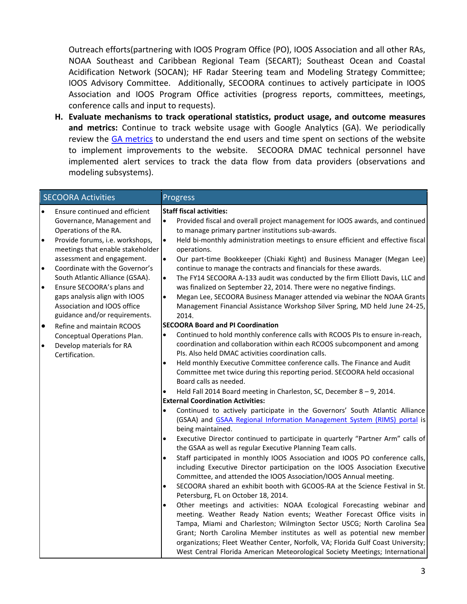Outreach efforts(partnering with IOOS Program Office (PO), IOOS Association and all other RAs, NOAA Southeast and Caribbean Regional Team (SECART); Southeast Ocean and Coastal Acidification Network (SOCAN); HF Radar Steering team and Modeling Strategy Committee; IOOS Advisory Committee. Additionally, SECOORA continues to actively participate in IOOS Association and IOOS Program Office activities (progress reports, committees, meetings, conference calls and input to requests).

**H. Evaluate mechanisms to track operational statistics, product usage, and outcome measures and metrics:** Continue to track website usage with Google Analytics (GA). We periodically review the [GA metrics](http://secoora.org/node/404) to understand the end users and time spent on sections of the website to implement improvements to the website. SECOORA DMAC technical personnel have implemented alert services to track the data flow from data providers (observations and modeling subsystems).

| <b>SECOORA Activities</b>                                                                                                                                                                                                                                                                                                                                                                                                                                                                                                                                                              | Progress                                                                                                                                                                                                                                                                                                                                                                                                                                                                                                                                                                                                                                                                                                                                                                                                                                                                                                                                                                                                                                                                                             |
|----------------------------------------------------------------------------------------------------------------------------------------------------------------------------------------------------------------------------------------------------------------------------------------------------------------------------------------------------------------------------------------------------------------------------------------------------------------------------------------------------------------------------------------------------------------------------------------|------------------------------------------------------------------------------------------------------------------------------------------------------------------------------------------------------------------------------------------------------------------------------------------------------------------------------------------------------------------------------------------------------------------------------------------------------------------------------------------------------------------------------------------------------------------------------------------------------------------------------------------------------------------------------------------------------------------------------------------------------------------------------------------------------------------------------------------------------------------------------------------------------------------------------------------------------------------------------------------------------------------------------------------------------------------------------------------------------|
| Ensure continued and efficient<br>$\bullet$<br>Governance, Management and<br>Operations of the RA.<br>$\bullet$<br>Provide forums, i.e. workshops,<br>meetings that enable stakeholder<br>assessment and engagement.<br>$\bullet$<br>Coordinate with the Governor's<br>South Atlantic Alliance (GSAA).<br>$\bullet$<br>Ensure SECOORA's plans and<br>gaps analysis align with IOOS<br>Association and IOOS office<br>guidance and/or requirements.<br>$\bullet$<br>Refine and maintain RCOOS<br>Conceptual Operations Plan.<br>$\bullet$<br>Develop materials for RA<br>Certification. | <b>Staff fiscal activities:</b><br>Provided fiscal and overall project management for IOOS awards, and continued<br>$\bullet$<br>to manage primary partner institutions sub-awards.<br>$\bullet$<br>Held bi-monthly administration meetings to ensure efficient and effective fiscal<br>operations.<br>$\bullet$<br>Our part-time Bookkeeper (Chiaki Kight) and Business Manager (Megan Lee)<br>continue to manage the contracts and financials for these awards.<br>$\bullet$<br>The FY14 SECOORA A-133 audit was conducted by the firm Elliott Davis, LLC and<br>was finalized on September 22, 2014. There were no negative findings.<br>$\bullet$<br>Megan Lee, SECOORA Business Manager attended via webinar the NOAA Grants<br>Management Financial Assistance Workshop Silver Spring, MD held June 24-25,<br>2014.<br><b>SECOORA Board and PI Coordination</b><br>Continued to hold monthly conference calls with RCOOS PIs to ensure in-reach,<br>$\bullet$<br>coordination and collaboration within each RCOOS subcomponent and among<br>PIs. Also held DMAC activities coordination calls. |
|                                                                                                                                                                                                                                                                                                                                                                                                                                                                                                                                                                                        | Held monthly Executive Committee conference calls. The Finance and Audit<br>$\bullet$<br>Committee met twice during this reporting period. SECOORA held occasional<br>Board calls as needed.<br>Held Fall 2014 Board meeting in Charleston, SC, December $8 - 9$ , 2014.<br><b>External Coordination Activities:</b><br>Continued to actively participate in the Governors' South Atlantic Alliance<br>$\bullet$<br>(GSAA) and GSAA Regional Information Management System (RIMS) portal is<br>being maintained.<br>Executive Director continued to participate in quarterly "Partner Arm" calls of<br>$\bullet$                                                                                                                                                                                                                                                                                                                                                                                                                                                                                     |
|                                                                                                                                                                                                                                                                                                                                                                                                                                                                                                                                                                                        | the GSAA as well as regular Executive Planning Team calls.<br>Staff participated in monthly IOOS Association and IOOS PO conference calls,<br>$\bullet$<br>including Executive Director participation on the IOOS Association Executive<br>Committee, and attended the IOOS Association/IOOS Annual meeting.<br>SECOORA shared an exhibit booth with GCOOS-RA at the Science Festival in St.<br>$\bullet$<br>Petersburg, FL on October 18, 2014.<br>Other meetings and activities: NOAA Ecological Forecasting webinar and<br>$\bullet$<br>meeting. Weather Ready Nation events; Weather Forecast Office visits in<br>Tampa, Miami and Charleston; Wilmington Sector USCG; North Carolina Sea<br>Grant; North Carolina Member institutes as well as potential new member<br>organizations; Fleet Weather Center, Norfolk, VA; Florida Gulf Coast University;<br>West Central Florida American Meteorological Society Meetings; International                                                                                                                                                         |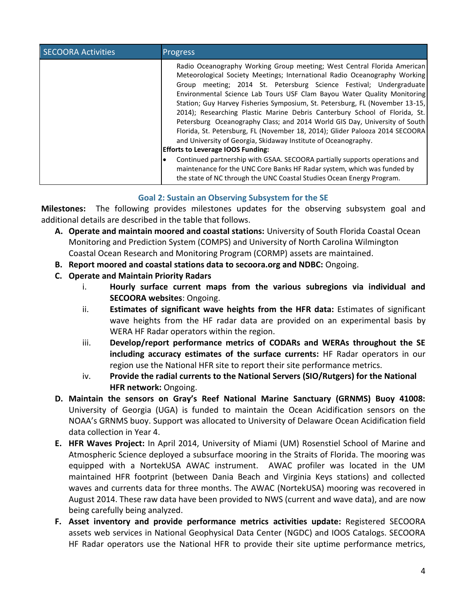| <b>SECOORA Activities</b> | <b>Progress</b>                                                                                                                                                                                                                                                                                                                                                                                                                                                                                                                                                                                                                                                                                                                                    |
|---------------------------|----------------------------------------------------------------------------------------------------------------------------------------------------------------------------------------------------------------------------------------------------------------------------------------------------------------------------------------------------------------------------------------------------------------------------------------------------------------------------------------------------------------------------------------------------------------------------------------------------------------------------------------------------------------------------------------------------------------------------------------------------|
|                           | Radio Oceanography Working Group meeting; West Central Florida American<br>Meteorological Society Meetings; International Radio Oceanography Working<br>meeting; 2014 St. Petersburg Science Festival; Undergraduate<br>Group<br>Environmental Science Lab Tours USF Clam Bayou Water Quality Monitoring<br>Station; Guy Harvey Fisheries Symposium, St. Petersburg, FL (November 13-15,<br>2014); Researching Plastic Marine Debris Canterbury School of Florida, St.<br>Petersburg Oceanography Class; and 2014 World GIS Day, University of South<br>Florida, St. Petersburg, FL (November 18, 2014); Glider Palooza 2014 SECOORA<br>and University of Georgia, Skidaway Institute of Oceanography.<br><b>Efforts to Leverage IOOS Funding:</b> |
|                           | Continued partnership with GSAA. SECOORA partially supports operations and<br>maintenance for the UNC Core Banks HF Radar system, which was funded by<br>the state of NC through the UNC Coastal Studies Ocean Energy Program.                                                                                                                                                                                                                                                                                                                                                                                                                                                                                                                     |

# **Goal 2: Sustain an Observing Subsystem for the SE**

**Milestones:** The following provides milestones updates for the observing subsystem goal and additional details are described in the table that follows.

- **A. Operate and maintain moored and coastal stations:** University of South Florida Coastal Ocean Monitoring and Prediction System (COMPS) and University of North Carolina Wilmington Coastal Ocean Research and Monitoring Program (CORMP) assets are maintained.
- **B. Report moored and coastal stations data to secoora.org and NDBC:** Ongoing.
- **C. Operate and Maintain Priority Radars**
	- i. **Hourly surface current maps from the various subregions via individual and SECOORA websites**: Ongoing.
	- ii. **Estimates of significant wave heights from the HFR data:** Estimates of significant wave heights from the HF radar data are provided on an experimental basis by WERA HF Radar operators within the region.
	- iii. **Develop/report performance metrics of CODARs and WERAs throughout the SE including accuracy estimates of the surface currents:** HF Radar operators in our region use the National HFR site to report their site performance metrics.
	- iv. **Provide the radial currents to the National Servers (SIO/Rutgers) for the National HFR network:** Ongoing.
- **D. Maintain the sensors on Gray's Reef National Marine Sanctuary (GRNMS) Buoy 41008:**  University of Georgia (UGA) is funded to maintain the Ocean Acidification sensors on the NOAA's GRNMS buoy. Support was allocated to University of Delaware Ocean Acidification field data collection in Year 4.
- **E. HFR Waves Project:** In April 2014, University of Miami (UM) Rosenstiel School of Marine and Atmospheric Science deployed a subsurface mooring in the Straits of Florida. The mooring was equipped with a NortekUSA AWAC instrument. AWAC profiler was located in the UM maintained HFR footprint (between Dania Beach and Virginia Keys stations) and collected waves and currents data for three months. The AWAC (NortekUSA) mooring was recovered in August 2014. These raw data have been provided to NWS (current and wave data), and are now being carefully being analyzed.
- **F. Asset inventory and provide performance metrics activities update:** Registered SECOORA assets web services in National Geophysical Data Center (NGDC) and IOOS Catalogs. SECOORA HF Radar operators use the National HFR to provide their site uptime performance metrics,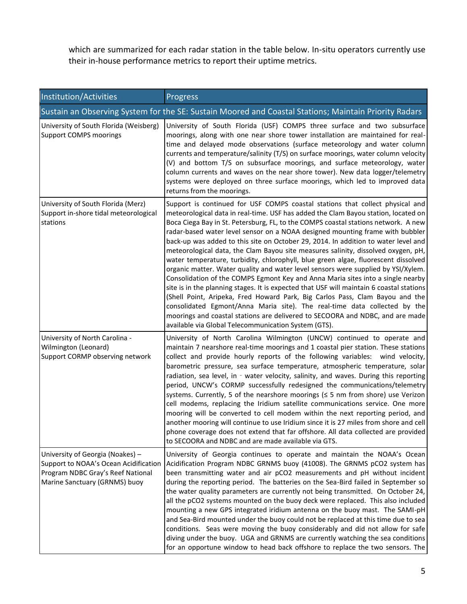which are summarized for each radar station in the table below. In-situ operators currently use their in-house performance metrics to report their uptime metrics.

| Institution/Activities                                                                                                                          | Progress                                                                                                                                                                                                                                                                                                                                                                                                                                                                                                                                                                                                                                                                                                                                                                                                                                                                                                                                                                                                                                                                                                                                                                              |
|-------------------------------------------------------------------------------------------------------------------------------------------------|---------------------------------------------------------------------------------------------------------------------------------------------------------------------------------------------------------------------------------------------------------------------------------------------------------------------------------------------------------------------------------------------------------------------------------------------------------------------------------------------------------------------------------------------------------------------------------------------------------------------------------------------------------------------------------------------------------------------------------------------------------------------------------------------------------------------------------------------------------------------------------------------------------------------------------------------------------------------------------------------------------------------------------------------------------------------------------------------------------------------------------------------------------------------------------------|
|                                                                                                                                                 | Sustain an Observing System for the SE: Sustain Moored and Coastal Stations; Maintain Priority Radars                                                                                                                                                                                                                                                                                                                                                                                                                                                                                                                                                                                                                                                                                                                                                                                                                                                                                                                                                                                                                                                                                 |
| University of South Florida (Weisberg)<br><b>Support COMPS moorings</b>                                                                         | University of South Florida (USF) COMPS three surface and two subsurface<br>moorings, along with one near shore tower installation are maintained for real-<br>time and delayed mode observations (surface meteorology and water column<br>currents and temperature/salinity (T/S) on surface moorings, water column velocity<br>(V) and bottom T/S on subsurface moorings, and surface meteorology, water<br>column currents and waves on the near shore tower). New data logger/telemetry<br>systems were deployed on three surface moorings, which led to improved data<br>returns from the moorings.                                                                                                                                                                                                                                                                                                                                                                                                                                                                                                                                                                              |
| University of South Florida (Merz)<br>Support in-shore tidal meteorological<br>stations                                                         | Support is continued for USF COMPS coastal stations that collect physical and<br>meteorological data in real-time. USF has added the Clam Bayou station, located on<br>Boca Ciega Bay in St. Petersburg, FL, to the COMPS coastal stations network. A new<br>radar-based water level sensor on a NOAA designed mounting frame with bubbler<br>back-up was added to this site on October 29, 2014. In addition to water level and<br>meteorological data, the Clam Bayou site measures salinity, dissolved oxygen, pH,<br>water temperature, turbidity, chlorophyll, blue green algae, fluorescent dissolved<br>organic matter. Water quality and water level sensors were supplied by YSI/Xylem.<br>Consolidation of the COMPS Egmont Key and Anna Maria sites into a single nearby<br>site is in the planning stages. It is expected that USF will maintain 6 coastal stations<br>(Shell Point, Aripeka, Fred Howard Park, Big Carlos Pass, Clam Bayou and the<br>consolidated Egmont/Anna Maria site). The real-time data collected by the<br>moorings and coastal stations are delivered to SECOORA and NDBC, and are made<br>available via Global Telecommunication System (GTS). |
| University of North Carolina -<br>Wilmington (Leonard)<br>Support CORMP observing network                                                       | University of North Carolina Wilmington (UNCW) continued to operate and<br>maintain 7 nearshore real-time moorings and 1 coastal pier station. These stations<br>collect and provide hourly reports of the following variables: wind velocity,<br>barometric pressure, sea surface temperature, atmospheric temperature, solar<br>radiation, sea level, in - water velocity, salinity, and waves. During this reporting<br>period, UNCW's CORMP successfully redesigned the communications/telemetry<br>systems. Currently, 5 of the nearshore moorings $( \leq 5 \text{ nm from shore})$ use Verizon<br>cell modems, replacing the Iridium satellite communications service. One more<br>mooring will be converted to cell modem within the next reporting period, and<br>another mooring will continue to use Iridium since it is 27 miles from shore and cell<br>phone coverage does not extend that far offshore. All data collected are provided<br>to SECOORA and NDBC and are made available via GTS.                                                                                                                                                                          |
| University of Georgia (Noakes) -<br>Support to NOAA's Ocean Acidification<br>Program NDBC Gray's Reef National<br>Marine Sanctuary (GRNMS) buoy | University of Georgia continues to operate and maintain the NOAA's Ocean<br>Acidification Program NDBC GRNMS buoy (41008). The GRNMS pCO2 system has<br>been transmitting water and air pCO2 measurements and pH without incident<br>during the reporting period. The batteries on the Sea-Bird failed in September so<br>the water quality parameters are currently not being transmitted. On October 24,<br>all the pCO2 systems mounted on the buoy deck were replaced. This also included<br>mounting a new GPS integrated iridium antenna on the buoy mast. The SAMI-pH<br>and Sea-Bird mounted under the buoy could not be replaced at this time due to sea<br>conditions. Seas were moving the buoy considerably and did not allow for safe<br>diving under the buoy. UGA and GRNMS are currently watching the sea conditions<br>for an opportune window to head back offshore to replace the two sensors. The                                                                                                                                                                                                                                                                 |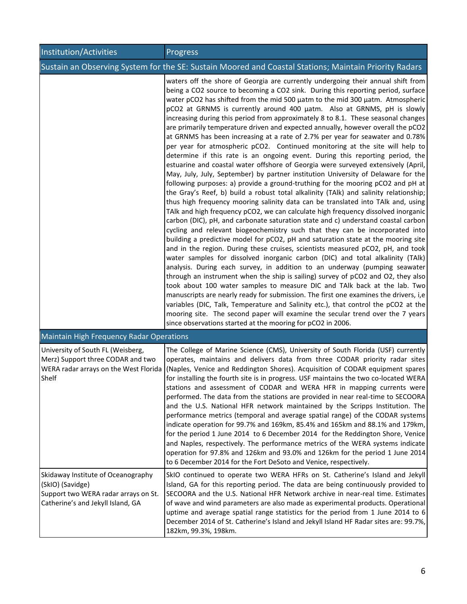| Institution/Activities                                                                                                              | Progress                                                                                                                                                                                                                                                                                                                                                                                                                                                                                                                                                                                                                                                                                                                                                                                                                                                                                                                                                                                                                                                                                                                                                                                                                                                                                                                                                                                                                                                                                                                                                                                                                                                                                                                                                                                                                                                                                                                                                                                                                                                                                                                                                                                                                                                                                                  |
|-------------------------------------------------------------------------------------------------------------------------------------|-----------------------------------------------------------------------------------------------------------------------------------------------------------------------------------------------------------------------------------------------------------------------------------------------------------------------------------------------------------------------------------------------------------------------------------------------------------------------------------------------------------------------------------------------------------------------------------------------------------------------------------------------------------------------------------------------------------------------------------------------------------------------------------------------------------------------------------------------------------------------------------------------------------------------------------------------------------------------------------------------------------------------------------------------------------------------------------------------------------------------------------------------------------------------------------------------------------------------------------------------------------------------------------------------------------------------------------------------------------------------------------------------------------------------------------------------------------------------------------------------------------------------------------------------------------------------------------------------------------------------------------------------------------------------------------------------------------------------------------------------------------------------------------------------------------------------------------------------------------------------------------------------------------------------------------------------------------------------------------------------------------------------------------------------------------------------------------------------------------------------------------------------------------------------------------------------------------------------------------------------------------------------------------------------------------|
|                                                                                                                                     | Sustain an Observing System for the SE: Sustain Moored and Coastal Stations; Maintain Priority Radars                                                                                                                                                                                                                                                                                                                                                                                                                                                                                                                                                                                                                                                                                                                                                                                                                                                                                                                                                                                                                                                                                                                                                                                                                                                                                                                                                                                                                                                                                                                                                                                                                                                                                                                                                                                                                                                                                                                                                                                                                                                                                                                                                                                                     |
|                                                                                                                                     | waters off the shore of Georgia are currently undergoing their annual shift from<br>being a CO2 source to becoming a CO2 sink. During this reporting period, surface<br>water pCO2 has shifted from the mid 500 µatm to the mid 300 µatm. Atmospheric<br>pCO2 at GRNMS is currently around 400 µatm. Also at GRNMS, pH is slowly<br>increasing during this period from approximately 8 to 8.1. These seasonal changes<br>are primarily temperature driven and expected annually, however overall the pCO2<br>at GRNMS has been increasing at a rate of 2.7% per year for seawater and 0.78%<br>per year for atmospheric pCO2. Continued monitoring at the site will help to<br>determine if this rate is an ongoing event. During this reporting period, the<br>estuarine and coastal water offshore of Georgia were surveyed extensively (April,<br>May, July, July, September) by partner institution University of Delaware for the<br>following purposes: a) provide a ground-truthing for the mooring pCO2 and pH at<br>the Gray's Reef, b) build a robust total alkalinity (TAlk) and salinity relationship;<br>thus high frequency mooring salinity data can be translated into TAIk and, using<br>TAlk and high frequency pCO2, we can calculate high frequency dissolved inorganic<br>carbon (DIC), pH, and carbonate saturation state and c) understand coastal carbon<br>cycling and relevant biogeochemistry such that they can be incorporated into<br>building a predictive model for pCO2, pH and saturation state at the mooring site<br>and in the region. During these cruises, scientists measured pCO2, pH, and took<br>water samples for dissolved inorganic carbon (DIC) and total alkalinity (TAIk)<br>analysis. During each survey, in addition to an underway (pumping seawater)<br>through an instrument when the ship is sailing) survey of pCO2 and O2, they also<br>took about 100 water samples to measure DIC and TAIk back at the lab. Two<br>manuscripts are nearly ready for submission. The first one examines the drivers, i,e<br>variables (DIC, Talk, Temperature and Salinity etc.), that control the pCO2 at the<br>mooring site. The second paper will examine the secular trend over the 7 years<br>since observations started at the mooring for pCO2 in 2006. |
| <b>Maintain High Frequency Radar Operations</b>                                                                                     |                                                                                                                                                                                                                                                                                                                                                                                                                                                                                                                                                                                                                                                                                                                                                                                                                                                                                                                                                                                                                                                                                                                                                                                                                                                                                                                                                                                                                                                                                                                                                                                                                                                                                                                                                                                                                                                                                                                                                                                                                                                                                                                                                                                                                                                                                                           |
| University of South FL (Weisberg,<br>Merz) Support three CODAR and two<br>WERA radar arrays on the West Florida<br>Shelf            | The College of Marine Science (CMS), University of South Florida (USF) currently<br>operates, maintains and delivers data from three CODAR priority radar sites<br>(Naples, Venice and Reddington Shores). Acquisition of CODAR equipment spares<br>for installing the fourth site is in progress. USF maintains the two co-located WERA<br>stations and assessment of CODAR and WERA HFR in mapping currents were<br>performed. The data from the stations are provided in near real-time to SECOORA<br>and the U.S. National HFR network maintained by the Scripps Institution. The<br>performance metrics (temporal and average spatial range) of the CODAR systems<br>indicate operation for 99.7% and 169km, 85.4% and 165km and 88.1% and 179km,<br>for the period 1 June 2014 to 6 December 2014 for the Reddington Shore, Venice<br>and Naples, respectively. The performance metrics of the WERA systems indicate<br>operation for 97.8% and 126km and 93.0% and 126km for the period 1 June 2014<br>to 6 December 2014 for the Fort DeSoto and Venice, respectively.                                                                                                                                                                                                                                                                                                                                                                                                                                                                                                                                                                                                                                                                                                                                                                                                                                                                                                                                                                                                                                                                                                                                                                                                                            |
| Skidaway Institute of Oceanography<br>(SkIO) (Savidge)<br>Support two WERA radar arrays on St.<br>Catherine's and Jekyll Island, GA | SkIO continued to operate two WERA HFRs on St. Catherine's Island and Jekyll<br>Island, GA for this reporting period. The data are being continuously provided to<br>SECOORA and the U.S. National HFR Network archive in near-real time. Estimates<br>of wave and wind parameters are also made as experimental products. Operational<br>uptime and average spatial range statistics for the period from 1 June 2014 to 6<br>December 2014 of St. Catherine's Island and Jekyll Island HF Radar sites are: 99.7%,<br>182km, 99.3%, 198km.                                                                                                                                                                                                                                                                                                                                                                                                                                                                                                                                                                                                                                                                                                                                                                                                                                                                                                                                                                                                                                                                                                                                                                                                                                                                                                                                                                                                                                                                                                                                                                                                                                                                                                                                                                |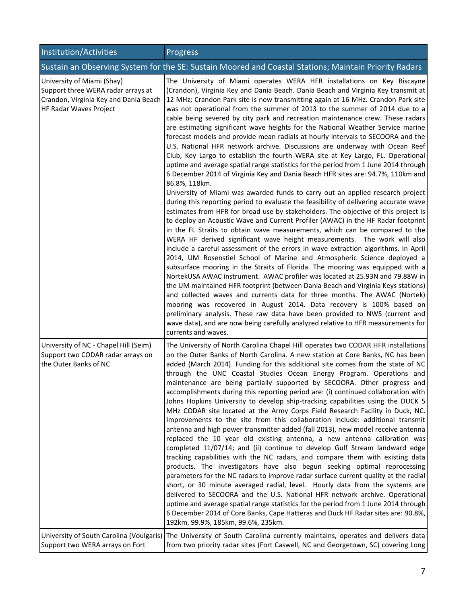| Institution/Activities                                                                                                                     | Progress                                                                                                                                                                                                                                                                                                                                                                                                                                                                                                                                                                                                                                                                                                                                                                                                                                                                                                                                                                                                                                                                                                                                                                                                                                                                                                                                                                                                                                                                                                                                                                                                                                                                                                                                                                                                                                                                                                                                                                                                                                                                                                                                                                                                                                 |
|--------------------------------------------------------------------------------------------------------------------------------------------|------------------------------------------------------------------------------------------------------------------------------------------------------------------------------------------------------------------------------------------------------------------------------------------------------------------------------------------------------------------------------------------------------------------------------------------------------------------------------------------------------------------------------------------------------------------------------------------------------------------------------------------------------------------------------------------------------------------------------------------------------------------------------------------------------------------------------------------------------------------------------------------------------------------------------------------------------------------------------------------------------------------------------------------------------------------------------------------------------------------------------------------------------------------------------------------------------------------------------------------------------------------------------------------------------------------------------------------------------------------------------------------------------------------------------------------------------------------------------------------------------------------------------------------------------------------------------------------------------------------------------------------------------------------------------------------------------------------------------------------------------------------------------------------------------------------------------------------------------------------------------------------------------------------------------------------------------------------------------------------------------------------------------------------------------------------------------------------------------------------------------------------------------------------------------------------------------------------------------------------|
|                                                                                                                                            | Sustain an Observing System for the SE: Sustain Moored and Coastal Stations; Maintain Priority Radars                                                                                                                                                                                                                                                                                                                                                                                                                                                                                                                                                                                                                                                                                                                                                                                                                                                                                                                                                                                                                                                                                                                                                                                                                                                                                                                                                                                                                                                                                                                                                                                                                                                                                                                                                                                                                                                                                                                                                                                                                                                                                                                                    |
| University of Miami (Shay)<br>Support three WERA radar arrays at<br>Crandon, Virginia Key and Dania Beach<br><b>HF Radar Waves Project</b> | The University of Miami operates WERA HFR installations on Key Biscayne<br>(Crandon), Virginia Key and Dania Beach. Dania Beach and Virginia Key transmit at<br>12 MHz; Crandon Park site is now transmitting again at 16 MHz. Crandon Park site<br>was not operational from the summer of 2013 to the summer of 2014 due to a<br>cable being severed by city park and recreation maintenance crew. These radars<br>are estimating significant wave heights for the National Weather Service marine<br>forecast models and provide mean radials at hourly intervals to SECOORA and the<br>U.S. National HFR network archive. Discussions are underway with Ocean Reef<br>Club, Key Largo to establish the fourth WERA site at Key Largo, FL. Operational<br>uptime and average spatial range statistics for the period from 1 June 2014 through<br>6 December 2014 of Virginia Key and Dania Beach HFR sites are: 94.7%, 110km and<br>86.8%, 118km.<br>University of Miami was awarded funds to carry out an applied research project<br>during this reporting period to evaluate the feasibility of delivering accurate wave<br>estimates from HFR for broad use by stakeholders. The objective of this project is<br>to deploy an Acoustic Wave and Current Profiler (AWAC) in the HF Radar footprint<br>in the FL Straits to obtain wave measurements, which can be compared to the<br>WERA HF derived significant wave height measurements. The work will also<br>include a careful assessment of the errors in wave extraction algorithms. In April<br>2014, UM Rosenstiel School of Marine and Atmospheric Science deployed a<br>subsurface mooring in the Straits of Florida. The mooring was equipped with a<br>NortekUSA AWAC instrument. AWAC profiler was located at 25.93N and 79.88W in<br>the UM maintained HFR footprint (between Dania Beach and Virginia Keys stations)<br>and collected waves and currents data for three months. The AWAC (Nortek)<br>mooring was recovered in August 2014. Data recovery is 100% based on<br>preliminary analysis. These raw data have been provided to NWS (current and<br>wave data), and are now being carefully analyzed relative to HFR measurements for<br>currents and waves. |
| University of NC - Chapel Hill (Seim)<br>Support two CODAR radar arrays on<br>the Outer Banks of NC                                        | The University of North Carolina Chapel Hill operates two CODAR HFR installations<br>on the Outer Banks of North Carolina. A new station at Core Banks, NC has been<br>added (March 2014). Funding for this additional site comes from the state of NC<br>through the UNC Coastal Studies Ocean Energy Program. Operations and<br>maintenance are being partially supported by SECOORA. Other progress and<br>accomplishments during this reporting period are: (i) continued collaboration with<br>Johns Hopkins University to develop ship-tracking capabilities using the DUCK 5<br>MHz CODAR site located at the Army Corps Field Research Facility in Duck, NC.<br>Improvements to the site from this collaboration include: additional transmit<br>antenna and high power transmitter added (fall 2013), new model receive antenna<br>replaced the 10 year old existing antenna, a new antenna calibration was<br>completed 11/07/14; and (ii) continue to develop Gulf Stream landward edge<br>tracking capabilities with the NC radars, and compare them with existing data<br>products. The investigators have also begun seeking optimal reprocessing<br>parameters for the NC radars to improve radar surface current quality at the radial<br>short, or 30 minute averaged radial, level. Hourly data from the systems are<br>delivered to SECOORA and the U.S. National HFR network archive. Operational<br>uptime and average spatial range statistics for the period from 1 June 2014 through<br>6 December 2014 of Core Banks, Cape Hatteras and Duck HF Radar sites are: 90.8%,<br>192km, 99.9%, 185km, 99.6%, 235km.                                                                                                                                                                                                                                                                                                                                                                                                                                                                                                                                                                                                   |
| University of South Carolina (Voulgaris)<br>Support two WERA arrays on Fort                                                                | The University of South Carolina currently maintains, operates and delivers data<br>from two priority radar sites (Fort Caswell, NC and Georgetown, SC) covering Long                                                                                                                                                                                                                                                                                                                                                                                                                                                                                                                                                                                                                                                                                                                                                                                                                                                                                                                                                                                                                                                                                                                                                                                                                                                                                                                                                                                                                                                                                                                                                                                                                                                                                                                                                                                                                                                                                                                                                                                                                                                                    |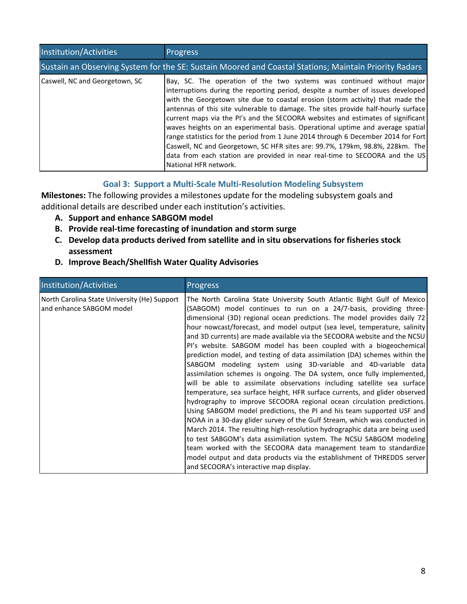| Institution/Activities                                                                                | <b>Progress</b>                                                                                                                                                                                                                                                                                                                                                                                                                                                                                                                                                                                                                                                                                                                                                                    |  |
|-------------------------------------------------------------------------------------------------------|------------------------------------------------------------------------------------------------------------------------------------------------------------------------------------------------------------------------------------------------------------------------------------------------------------------------------------------------------------------------------------------------------------------------------------------------------------------------------------------------------------------------------------------------------------------------------------------------------------------------------------------------------------------------------------------------------------------------------------------------------------------------------------|--|
| Sustain an Observing System for the SE: Sustain Moored and Coastal Stations; Maintain Priority Radars |                                                                                                                                                                                                                                                                                                                                                                                                                                                                                                                                                                                                                                                                                                                                                                                    |  |
| Caswell, NC and Georgetown, SC                                                                        | Bay, SC. The operation of the two systems was continued without major<br>interruptions during the reporting period, despite a number of issues developed<br>with the Georgetown site due to coastal erosion (storm activity) that made the<br>antennas of this site vulnerable to damage. The sites provide half-hourly surface<br>current maps via the PI's and the SECOORA websites and estimates of significant<br>waves heights on an experimental basis. Operational uptime and average spatial<br>range statistics for the period from 1 June 2014 through 6 December 2014 for Fort<br>Caswell, NC and Georgetown, SC HFR sites are: 99.7%, 179km, 98.8%, 228km. The<br>data from each station are provided in near real-time to SECOORA and the US<br>National HFR network. |  |

# **Goal 3: Support a Multi-Scale Multi-Resolution Modeling Subsystem**

**Milestones:** The following provides a milestones update for the modeling subsystem goals and additional details are described under each institution's activities.

- **A. Support and enhance SABGOM model**
- **B. Provide real-time forecasting of inundation and storm surge**
- **C. Develop data products derived from satellite and in situ observations for fisheries stock assessment**
- **D. Improve Beach/Shellfish Water Quality Advisories**

| Institution/Activities                                                   | <b>Progress</b>                                                                                                                                                                                                                                                                                                                                                                                                                                                                                                                                                                                                                                                                                                                                                                                                                                                                                                                                                                                                                                                                                                                                                                                                                                                                                                                                                                                                        |
|--------------------------------------------------------------------------|------------------------------------------------------------------------------------------------------------------------------------------------------------------------------------------------------------------------------------------------------------------------------------------------------------------------------------------------------------------------------------------------------------------------------------------------------------------------------------------------------------------------------------------------------------------------------------------------------------------------------------------------------------------------------------------------------------------------------------------------------------------------------------------------------------------------------------------------------------------------------------------------------------------------------------------------------------------------------------------------------------------------------------------------------------------------------------------------------------------------------------------------------------------------------------------------------------------------------------------------------------------------------------------------------------------------------------------------------------------------------------------------------------------------|
| North Carolina State University (He) Support<br>and enhance SABGOM model | The North Carolina State University South Atlantic Bight Gulf of Mexico<br>(SABGOM) model continues to run on a 24/7-basis, providing three-<br>dimensional (3D) regional ocean predictions. The model provides daily 72<br>hour nowcast/forecast, and model output (sea level, temperature, salinity<br>and 3D currents) are made available via the SECOORA website and the NCSU<br>PI's website. SABGOM model has been coupled with a biogeochemical<br>prediction model, and testing of data assimilation (DA) schemes within the<br>SABGOM modeling system using 3D-variable and 4D-variable data<br>assimilation schemes is ongoing. The DA system, once fully implemented,<br>will be able to assimilate observations including satellite sea surface<br>temperature, sea surface height, HFR surface currents, and glider observed<br>hydrography to improve SECOORA regional ocean circulation predictions.<br>Using SABGOM model predictions, the PI and his team supported USF and<br>NOAA in a 30-day glider survey of the Gulf Stream, which was conducted in<br>March 2014. The resulting high-resolution hydrographic data are being used<br>to test SABGOM's data assimilation system. The NCSU SABGOM modeling<br>team worked with the SECOORA data management team to standardize<br>model output and data products via the establishment of THREDDS server<br>and SECOORA's interactive map display. |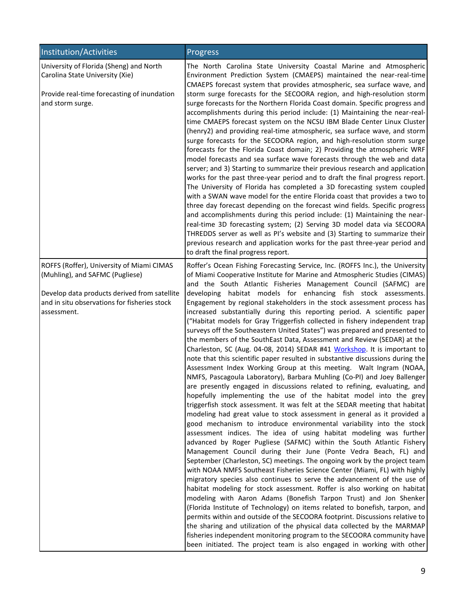| Institution/Activities                                                                                      | Progress                                                                                                                                                                                                                                                                                                                                                                                                                                                                                                                                                                                                                                                                                                                                                                                                                                                                                                                                                                                                                                                                                                                                                                                                                                                                                                                                                                                                                                                                                                                                                                                                                                                                                                                                                                                                                                                                                                                                                                                                                                                                                                                                                                   |
|-------------------------------------------------------------------------------------------------------------|----------------------------------------------------------------------------------------------------------------------------------------------------------------------------------------------------------------------------------------------------------------------------------------------------------------------------------------------------------------------------------------------------------------------------------------------------------------------------------------------------------------------------------------------------------------------------------------------------------------------------------------------------------------------------------------------------------------------------------------------------------------------------------------------------------------------------------------------------------------------------------------------------------------------------------------------------------------------------------------------------------------------------------------------------------------------------------------------------------------------------------------------------------------------------------------------------------------------------------------------------------------------------------------------------------------------------------------------------------------------------------------------------------------------------------------------------------------------------------------------------------------------------------------------------------------------------------------------------------------------------------------------------------------------------------------------------------------------------------------------------------------------------------------------------------------------------------------------------------------------------------------------------------------------------------------------------------------------------------------------------------------------------------------------------------------------------------------------------------------------------------------------------------------------------|
| University of Florida (Sheng) and North<br>Carolina State University (Xie)                                  | The North Carolina State University Coastal Marine and Atmospheric<br>Environment Prediction System (CMAEPS) maintained the near-real-time<br>CMAEPS forecast system that provides atmospheric, sea surface wave, and                                                                                                                                                                                                                                                                                                                                                                                                                                                                                                                                                                                                                                                                                                                                                                                                                                                                                                                                                                                                                                                                                                                                                                                                                                                                                                                                                                                                                                                                                                                                                                                                                                                                                                                                                                                                                                                                                                                                                      |
| Provide real-time forecasting of inundation<br>and storm surge.                                             | storm surge forecasts for the SECOORA region, and high-resolution storm<br>surge forecasts for the Northern Florida Coast domain. Specific progress and<br>accomplishments during this period include: (1) Maintaining the near-real-<br>time CMAEPS forecast system on the NCSU IBM Blade Center Linux Cluster<br>(henry2) and providing real-time atmospheric, sea surface wave, and storm<br>surge forecasts for the SECOORA region, and high-resolution storm surge<br>forecasts for the Florida Coast domain; 2) Providing the atmospheric WRF<br>model forecasts and sea surface wave forecasts through the web and data<br>server; and 3) Starting to summarize their previous research and application<br>works for the past three-year period and to draft the final progress report.<br>The University of Florida has completed a 3D forecasting system coupled<br>with a SWAN wave model for the entire Florida coast that provides a two to<br>three day forecast depending on the forecast wind fields. Specific progress<br>and accomplishments during this period include: (1) Maintaining the near-<br>real-time 3D forecasting system; (2) Serving 3D model data via SECOORA<br>THREDDS server as well as PI's website and (3) Starting to summarize their<br>previous research and application works for the past three-year period and<br>to draft the final progress report.                                                                                                                                                                                                                                                                                                                                                                                                                                                                                                                                                                                                                                                                                                                                                                           |
| ROFFS (Roffer), University of Miami CIMAS<br>(Muhling), and SAFMC (Pugliese)                                | Roffer's Ocean Fishing Forecasting Service, Inc. (ROFFS Inc.), the University<br>of Miami Cooperative Institute for Marine and Atmospheric Studies (CIMAS)<br>and the South Atlantic Fisheries Management Council (SAFMC) are                                                                                                                                                                                                                                                                                                                                                                                                                                                                                                                                                                                                                                                                                                                                                                                                                                                                                                                                                                                                                                                                                                                                                                                                                                                                                                                                                                                                                                                                                                                                                                                                                                                                                                                                                                                                                                                                                                                                              |
| Develop data products derived from satellite<br>and in situ observations for fisheries stock<br>assessment. | developing habitat models for enhancing fish stock assessments.<br>Engagement by regional stakeholders in the stock assessment process has<br>increased substantially during this reporting period. A scientific paper<br>("Habitat models for Gray Triggerfish collected in fishery independent trap<br>surveys off the Southeastern United States") was prepared and presented to<br>the members of the SouthEast Data, Assessment and Review (SEDAR) at the<br>Charleston, SC (Aug. 04-08, 2014) SEDAR #41 Workshop. It is important to<br>note that this scientific paper resulted in substantive discussions during the<br>Assessment Index Working Group at this meeting. Walt Ingram (NOAA,<br>NMFS, Pascagoula Laboratory), Barbara Muhling (Co-PI) and Joey Ballenger<br>are presently engaged in discussions related to refining, evaluating, and<br>hopefully implementing the use of the habitat model into the grey<br>triggerfish stock assessment. It was felt at the SEDAR meeting that habitat<br>modeling had great value to stock assessment in general as it provided a<br>good mechanism to introduce environmental variability into the stock<br>assessment indices. The idea of using habitat modeling was further<br>advanced by Roger Pugliese (SAFMC) within the South Atlantic Fishery<br>Management Council during their June (Ponte Vedra Beach, FL) and<br>September (Charleston, SC) meetings. The ongoing work by the project team<br>with NOAA NMFS Southeast Fisheries Science Center (Miami, FL) with highly<br>migratory species also continues to serve the advancement of the use of<br>habitat modeling for stock assessment. Roffer is also working on habitat<br>modeling with Aaron Adams (Bonefish Tarpon Trust) and Jon Shenker<br>(Florida Institute of Technology) on items related to bonefish, tarpon, and<br>permits within and outside of the SECOORA footprint. Discussions relative to<br>the sharing and utilization of the physical data collected by the MARMAP<br>fisheries independent monitoring program to the SECOORA community have<br>been initiated. The project team is also engaged in working with other |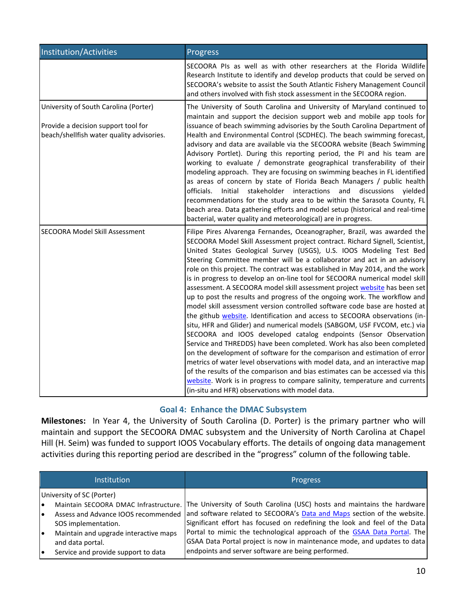| Institution/Activities                                                                                                    | <b>Progress</b>                                                                                                                                                                                                                                                                                                                                                                                                                                                                                                                                                                                                                                                                                                                                                                                                                                                                                                                                                                                                                                                                                                                                                                                                                                                                                                                                                                                        |
|---------------------------------------------------------------------------------------------------------------------------|--------------------------------------------------------------------------------------------------------------------------------------------------------------------------------------------------------------------------------------------------------------------------------------------------------------------------------------------------------------------------------------------------------------------------------------------------------------------------------------------------------------------------------------------------------------------------------------------------------------------------------------------------------------------------------------------------------------------------------------------------------------------------------------------------------------------------------------------------------------------------------------------------------------------------------------------------------------------------------------------------------------------------------------------------------------------------------------------------------------------------------------------------------------------------------------------------------------------------------------------------------------------------------------------------------------------------------------------------------------------------------------------------------|
|                                                                                                                           | SECOORA PIs as well as with other researchers at the Florida Wildlife<br>Research Institute to identify and develop products that could be served on<br>SECOORA's website to assist the South Atlantic Fishery Management Council<br>and others involved with fish stock assessment in the SECOORA region.                                                                                                                                                                                                                                                                                                                                                                                                                                                                                                                                                                                                                                                                                                                                                                                                                                                                                                                                                                                                                                                                                             |
| University of South Carolina (Porter)<br>Provide a decision support tool for<br>beach/shellfish water quality advisories. | The University of South Carolina and University of Maryland continued to<br>maintain and support the decision support web and mobile app tools for<br>issuance of beach swimming advisories by the South Carolina Department of<br>Health and Environmental Control (SCDHEC). The beach swimming forecast,<br>advisory and data are available via the SECOORA website (Beach Swimming<br>Advisory Portlet). During this reporting period, the PI and his team are<br>working to evaluate / demonstrate geographical transferability of their<br>modeling approach. They are focusing on swimming beaches in FL identified<br>as areas of concern by state of Florida Beach Managers / public health<br>stakeholder interactions and discussions yielded<br>officials.<br>Initial<br>recommendations for the study area to be within the Sarasota County, FL<br>beach area. Data gathering efforts and model setup (historical and real-time<br>bacterial, water quality and meteorological) are in progress.                                                                                                                                                                                                                                                                                                                                                                                           |
| <b>SECOORA Model Skill Assessment</b>                                                                                     | Filipe Pires Alvarenga Fernandes, Oceanographer, Brazil, was awarded the<br>SECOORA Model Skill Assessment project contract. Richard Signell, Scientist,<br>United States Geological Survey (USGS), U.S. IOOS Modeling Test Bed<br>Steering Committee member will be a collaborator and act in an advisory<br>role on this project. The contract was established in May 2014, and the work<br>is in progress to develop an on-line tool for SECOORA numerical model skill<br>assessment. A SECOORA model skill assessment project website has been set<br>up to post the results and progress of the ongoing work. The workflow and<br>model skill assessment version controlled software code base are hosted at<br>the github website. Identification and access to SECOORA observations (in-<br>situ, HFR and Glider) and numerical models (SABGOM, USF FVCOM, etc.) via<br>SECOORA and IOOS developed catalog endpoints (Sensor Observation<br>Service and THREDDS) have been completed. Work has also been completed<br>on the development of software for the comparison and estimation of error<br>metrics of water level observations with model data, and an interactive map<br>of the results of the comparison and bias estimates can be accessed via this<br>website. Work is in progress to compare salinity, temperature and currents<br>(in-situ and HFR) observations with model data. |

# **Goal 4: Enhance the DMAC Subsystem**

**Milestones:** In Year 4, the University of South Carolina (D. Porter) is the primary partner who will maintain and support the SECOORA DMAC subsystem and the University of North Carolina at Chapel Hill (H. Seim) was funded to support IOOS Vocabulary efforts. The details of ongoing data management activities during this reporting period are described in the "progress" column of the following table.

| <b>Institution</b>                                                                               | <b>Progress</b>                                                                                                                                                                                                                                                        |
|--------------------------------------------------------------------------------------------------|------------------------------------------------------------------------------------------------------------------------------------------------------------------------------------------------------------------------------------------------------------------------|
| University of SC (Porter)                                                                        |                                                                                                                                                                                                                                                                        |
| Assess and Advance IOOS recommended<br>SOS implementation.                                       | Maintain SECOORA DMAC Infrastructure. The University of South Carolina (USC) hosts and maintains the hardware<br>and software related to SECOORA's Data and Maps section of the website.<br>Significant effort has focused on redefining the look and feel of the Data |
| Maintain and upgrade interactive maps<br>and data portal.<br>Service and provide support to data | Portal to mimic the technological approach of the GSAA Data Portal. The<br>GSAA Data Portal project is now in maintenance mode, and updates to data<br>endpoints and server software are being performed.                                                              |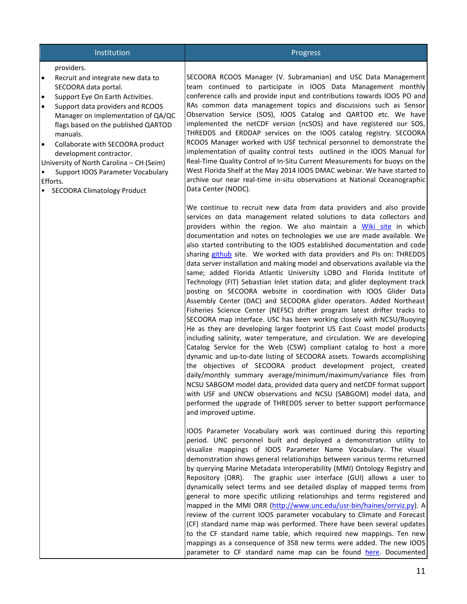# Institution **Progress**

#### providers.

- Recruit and integrate new data to SECOORA data portal.
- Support Eye On Earth Activities.
- Support data providers and RCOOS Manager on implementation of QA/QC flags based on the published QARTOD manuals.
- Collaborate with SECOORA product development contractor.

University of North Carolina – CH (Seim)

- Support IOOS Parameter Vocabulary Efforts.
- SECOORA Climatology Product

SECOORA RCOOS Manager (V. Subramanian) and USC Data Management team continued to participate in IOOS Data Management monthly conference calls and provide input and contributions towards IOOS PO and RAs common data management topics and discussions such as Sensor Observation Service (SOS), IOOS Catalog and QARTOD etc. We have implemented the netCDF version (ncSOS) and have registered our SOS, THREDDS and ERDDAP services on the IOOS catalog registry. SECOORA RCOOS Manager worked with USF technical personnel to demonstrate the implementation of quality control tests outlined in the IOOS Manual for Real-Time Quality Control of In-Situ Current Measurements for buoys on the West Florida Shelf at the May 2014 IOOS DMAC webinar. We have started to archive our near real-time in-situ observations at National Oceanographic Data Center (NODC).

We continue to recruit new data from data providers and also provide services on data management related solutions to data collectors and providers within the region. We also maintain a [Wiki site](http://code.google.com/p/xenia/w/list) in which documentation and notes on technologies we use are made available. We also started contributing to the IOOS established documentation and code sharing [github](https://github.com/ioos) site. We worked with data providers and PIs on: THREDDS data server installation and making model and observations available via the same; added Florida Atlantic University LOBO and Florida Institute of Technology (FIT) Sebastian Inlet station data; and glider deployment track posting on SECOORA website in coordination with IOOS Glider Data Assembly Center (DAC) and SECOORA glider operators. Added Northeast Fisheries Science Center (NEFSC) drifter program latest drifter tracks to SECOORA map interface. USC has been working closely with NCSU/Ruoying He as they are developing larger footprint US East Coast model products including salinity, water temperature, and circulation. We are developing Catalog Service for the Web (CSW) compliant catalog to host a more dynamic and up-to-date listing of SECOORA assets. Towards accomplishing the objectives of SECOORA product development project, created daily/monthly summary average/minimum/maximum/variance files from NCSU SABGOM model data, provided data query and netCDF format support with USF and UNCW observations and NCSU (SABGOM) model data, and performed the upgrade of THREDDS server to better support performance and improved uptime.

IOOS Parameter Vocabulary work was continued during this reporting period. UNC personnel built and deployed a demonstration utility to visualize mappings of IOOS Parameter Name Vocabulary. The visual demonstration shows general relationships between various terms returned by querying Marine Metadata Interoperability (MMI) Ontology Registry and Repository (ORR). The graphic user interface (GUI) allows a user to dynamically select terms and see detailed display of mapped terms from general to more specific utilizing relationships and terms registered and mapped in the MMI ORR [\(http://www.unc.edu/usr-bin/haines/orrviz.py\)](http://www.unc.edu/usr-bin/haines/orrviz.py). A review of the current IOOS parameter vocabulary to Climate and Forecast (CF) standard name map was performed. There have been several updates to the CF standard name table, which required new mappings. Ten new mappings as a consequence of 358 new terms were added. The new IOOS parameter to CF standard name map can be found [here.](http://mmisw.org/orr/#http://mmisw.org/ont/ioos/map_ioos_cf) Documented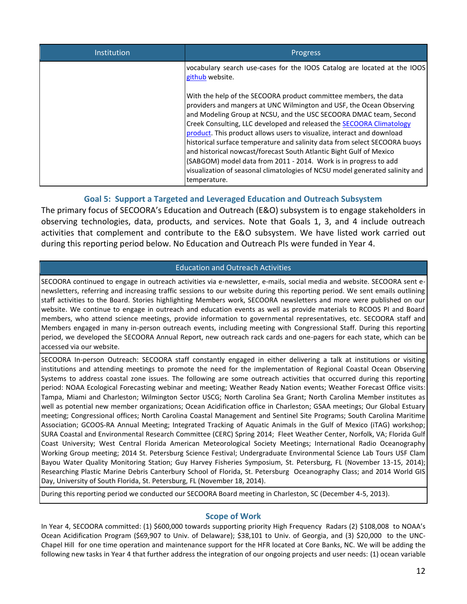| Institution | <b>Progress</b>                                                                                                                                                                                                                                                                                                                                                                                                                                                                                                                                                                                                                                                                          |
|-------------|------------------------------------------------------------------------------------------------------------------------------------------------------------------------------------------------------------------------------------------------------------------------------------------------------------------------------------------------------------------------------------------------------------------------------------------------------------------------------------------------------------------------------------------------------------------------------------------------------------------------------------------------------------------------------------------|
|             | vocabulary search use-cases for the IOOS Catalog are located at the IOOS<br>github website.                                                                                                                                                                                                                                                                                                                                                                                                                                                                                                                                                                                              |
|             | With the help of the SECOORA product committee members, the data<br>providers and mangers at UNC Wilmington and USF, the Ocean Observing<br>and Modeling Group at NCSU, and the USC SECOORA DMAC team, Second<br>Creek Consulting, LLC developed and released the SECOORA Climatology<br>product. This product allows users to visualize, interact and download<br>historical surface temperature and salinity data from select SECOORA buoys<br>and historical nowcast/forecast South Atlantic Bight Gulf of Mexico<br>(SABGOM) model data from 2011 - 2014. Work is in progress to add<br>visualization of seasonal climatologies of NCSU model generated salinity and<br>temperature. |

### **Goal 5: Support a Targeted and Leveraged Education and Outreach Subsystem**

The primary focus of SECOORA's Education and Outreach (E&O) subsystem is to engage stakeholders in observing technologies, data, products, and services. Note that Goals 1, 3, and 4 include outreach activities that complement and contribute to the E&O subsystem. We have listed work carried out during this reporting period below. No Education and Outreach PIs were funded in Year 4.

#### Education and Outreach Activities

SECOORA continued to engage in outreach activities via e-newsletter, e-mails, social media and website. SECOORA sent enewsletters, referring and increasing traffic sessions to our website during this reporting period. We sent emails outlining staff activities to the Board. Stories highlighting Members work, SECOORA newsletters and more were published on our website. We continue to engage in outreach and education events as well as provide materials to RCOOS PI and Board members, who attend science meetings, provide information to governmental representatives, etc. SECOORA staff and Members engaged in many in-person outreach events, including meeting with Congressional Staff. During this reporting period, we developed the SECOORA Annual Report, new outreach rack cards and one-pagers for each state, which can be accessed via our website.

SECOORA In-person Outreach: SECOORA staff constantly engaged in either delivering a talk at institutions or visiting institutions and attending meetings to promote the need for the implementation of Regional Coastal Ocean Observing Systems to address coastal zone issues. The following are some outreach activities that occurred during this reporting period: NOAA Ecological Forecasting webinar and meeting; Weather Ready Nation events; Weather Forecast Office visits: Tampa, Miami and Charleston; Wilmington Sector USCG; North Carolina Sea Grant; North Carolina Member institutes as well as potential new member organizations; Ocean Acidification office in Charleston; GSAA meetings; Our Global Estuary meeting; Congressional offices; North Carolina Coastal Management and Sentinel Site Programs; South Carolina Maritime Association; GCOOS-RA Annual Meeting; Integrated Tracking of Aquatic Animals in the Gulf of Mexico (iTAG) workshop; SURA Coastal and Environmental Research Committee (CERC) Spring 2014; Fleet Weather Center, Norfolk, VA; Florida Gulf Coast University; West Central Florida American Meteorological Society Meetings; International Radio Oceanography Working Group meeting; 2014 St. Petersburg Science Festival; Undergraduate Environmental Science Lab Tours USF Clam Bayou Water Quality Monitoring Station; Guy Harvey Fisheries Symposium, St. Petersburg, FL (November 13-15, 2014); Researching Plastic Marine Debris Canterbury School of Florida, St. Petersburg Oceanography Class; and 2014 World GIS Day, University of South Florida, St. Petersburg, FL (November 18, 2014).

During this reporting period we conducted our SECOORA Board meeting in Charleston, SC (December 4-5, 2013).

#### **Scope of Work**

In Year 4, SECOORA committed: (1) \$600,000 towards supporting priority High Frequency Radars (2) \$108,008 to NOAA's Ocean Acidification Program (\$69,907 to Univ. of Delaware); \$38,101 to Univ. of Georgia, and (3) \$20,000 to the UNC-Chapel Hill for one time operation and maintenance support for the HFR located at Core Banks, NC. We will be adding the following new tasks in Year 4 that further address the integration of our ongoing projects and user needs: (1) ocean variable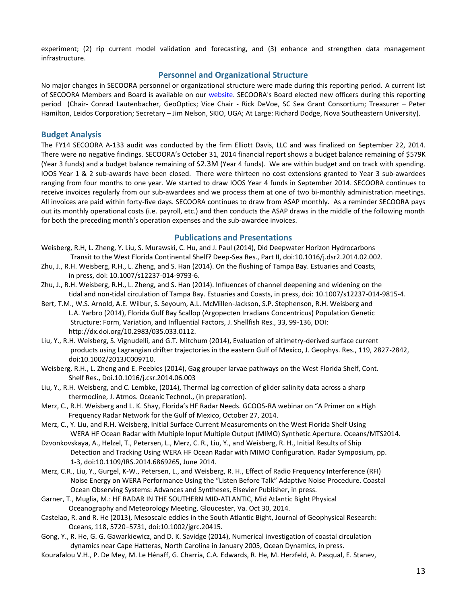experiment; (2) rip current model validation and forecasting, and (3) enhance and strengthen data management infrastructure.

#### **Personnel and Organizational Structure**

No major changes in SECOORA personnel or organizational structure were made during this reporting period. A current list of SECOORA Members and Board is available on our [website.](http://secoora.org/members/board) SECOORA's Board elected new officers during this reporting period (Chair- Conrad Lautenbacher, GeoOptics; Vice Chair - Rick DeVoe, SC Sea Grant Consortium; Treasurer – Peter Hamilton, Leidos Corporation; Secretary – Jim Nelson, SKIO, UGA; At Large: Richard Dodge, Nova Southeastern University).

#### **Budget Analysis**

The FY14 SECOORA A-133 audit was conducted by the firm Elliott Davis, LLC and was finalized on September 22, 2014. There were no negative findings. SECOORA's October 31, 2014 financial report shows a budget balance remaining of \$579K (Year 3 funds) and a budget balance remaining of \$2.3M (Year 4 funds). We are within budget and on track with spending. IOOS Year 1 & 2 sub-awards have been closed. There were thirteen no cost extensions granted to Year 3 sub-awardees ranging from four months to one year. We started to draw IOOS Year 4 funds in September 2014. SECOORA continues to receive invoices regularly from our sub-awardees and we process them at one of two bi-monthly administration meetings. All invoices are paid within forty-five days. SECOORA continues to draw from ASAP monthly. As a reminder SECOORA pays out its monthly operational costs (i.e. payroll, etc.) and then conducts the ASAP draws in the middle of the following month for both the preceding month's operation expenses and the sub-awardee invoices.

#### **Publications and Presentations**

- Weisberg, R.H, L. Zheng, Y. Liu, S. Murawski, C. Hu, and J. Paul (2014), Did Deepwater Horizon Hydrocarbons Transit to the West Florida Continental Shelf? Deep-Sea Res., Part II, doi:10.1016/j.dsr2.2014.02.002.
- Zhu, J., R.H. Weisberg, R.H., L. Zheng, and S. Han (2014). On the flushing of Tampa Bay. Estuaries and Coasts, in press, doi: 10.1007/s12237-014-9793-6.
- Zhu, J., R.H. Weisberg, R.H., L. Zheng, and S. Han (2014). Influences of channel deepening and widening on the tidal and non-tidal circulation of Tampa Bay. Estuaries and Coasts, in press, doi: 10.1007/s12237-014-9815-4.
- Bert, T.M., W.S. Arnold, A.E. Wilbur, S. Seyoum, A.L. McMillen-Jackson, S.P. Stephenson, R.H. Weisberg and L.A. Yarbro (2014), Florida Gulf Bay Scallop (Argopecten Irradians Concentricus) Population Genetic Structure: Form, Variation, and Influential Factors, J. Shellfish Res., 33, 99-136, DOI: http://dx.doi.org/10.2983/035.033.0112.
- Liu, Y., R.H. Weisberg, S. Vignudelli, and G.T. Mitchum (2014), Evaluation of altimetry-derived surface current products using Lagrangian drifter trajectories in the eastern Gulf of Mexico, J. Geophys. Res., 119, 2827-2842, doi:10.1002/2013JC009710.
- Weisberg, R.H., L. Zheng and E. Peebles (2014), Gag grouper larvae pathways on the West Florida Shelf, Cont. Shelf Res., Doi.10.1016/j.csr.2014.06.003
- Liu, Y., R.H. Weisberg, and C. Lembke, (2014), Thermal lag correction of glider salinity data across a sharp thermocline, J. Atmos. Oceanic Technol., (in preparation).
- Merz, C., R.H. Weisberg and L. K. Shay, Florida's HF Radar Needs. GCOOS-RA webinar on "A Primer on a High Frequency Radar Network for the Gulf of Mexico, October 27, 2014.
- Merz, C., Y. Liu, and R.H. Weisberg, Initial Surface Current Measurements on the West Florida Shelf Using WERA HF Ocean Radar with Multiple Input Multiple Output (MIMO) Synthetic Aperture. Oceans/MTS2014.
- Dzvonkovskaya, A., Helzel, T., Petersen, L., Merz, C. R., Liu, Y., and Weisberg, R. H., Initial Results of Ship Detection and Tracking Using WERA HF Ocean Radar with MIMO Configuration. Radar Symposium, pp. 1-3, doi:10.1109/IRS.2014.6869265, June 2014.
- Merz, C.R., Liu, Y., Gurgel, K-W., Petersen, L., and Weisberg, R. H., Effect of Radio Frequency Interference (RFI) Noise Energy on WERA Performance Using the "Listen Before Talk" Adaptive Noise Procedure. Coastal Ocean Observing Systems: Advances and Syntheses, Elsevier Publisher, in press.
- Garner, T., Muglia, M.: HF RADAR IN THE SOUTHERN MID-ATLANTIC, Mid Atlantic Bight Physical Oceanography and Meteorology Meeting, Gloucester, Va. Oct 30, 2014.
- Castelao, R. and R. He (2013), Mesoscale eddies in the South Atlantic Bight, Journal of Geophysical Research: Oceans, 118, 5720–5731, doi:10.1002/jgrc.20415.
- Gong, Y., R. He, G. G. Gawarkiewicz, and D. K. Savidge (2014), Numerical investigation of coastal circulation dynamics near Cape Hatteras, North Carolina in January 2005, Ocean Dynamics, in press.
- Kourafalou V.H., P. De Mey, M. Le Hénaff, G. Charria, C.A. Edwards, R. He, M. Herzfeld, A. Pasqual, E. Stanev,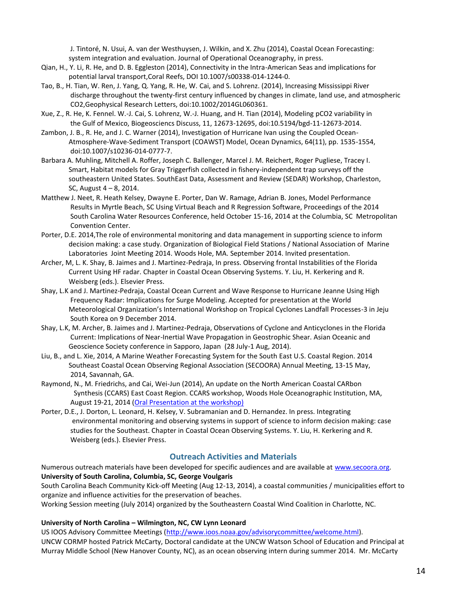J. Tintoré, N. Usui, A. van der Westhuysen, J. Wilkin, and X. Zhu (2014), Coastal Ocean Forecasting: system integration and evaluation. Journal of Operational Oceanography, in press.

- Qian, H., Y. Li, R. He, and D. B. Eggleston (2014), Connectivity in the Intra-American Seas and implications for potential larval transport,Coral Reefs, DOI 10.1007/s00338-014-1244-0.
- Tao, B., H. Tian, W. Ren, J. Yang, Q. Yang, R. He, W. Cai, and S. Lohrenz. (2014), Increasing Mississippi River discharge throughout the twenty-first century influenced by changes in climate, land use, and atmospheric CO2,Geophysical Research Letters, doi:10.1002/2014GL060361.
- Xue, Z., R. He, K. Fennel. W.-J. Cai, S. Lohrenz, W.-J. Huang, and H. Tian (2014), Modeling pCO2 variability in the Gulf of Mexico, Biogeosciencs Discuss, 11, 12673-12695, doi:10.5194/bgd-11-12673-2014.
- Zambon, J. B., R. He, and J. C. Warner (2014), Investigation of Hurricane Ivan using the Coupled Ocean-Atmosphere-Wave-Sediment Transport (COAWST) Model, Ocean Dynamics, 64(11), pp. 1535-1554, doi:10.1007/s10236-014-0777-7.
- Barbara A. Muhling, Mitchell A. Roffer, Joseph C. Ballenger, Marcel J. M. Reichert, Roger Pugliese, Tracey I. Smart, Habitat models for Gray Triggerfish collected in fishery-independent trap surveys off the southeastern United States. SouthEast Data, Assessment and Review (SEDAR) Workshop, Charleston, SC, August 4 – 8, 2014.
- Matthew J. Neet, R. Heath Kelsey, Dwayne E. Porter, Dan W. Ramage, Adrian B. Jones, Model Performance Results in Myrtle Beach, SC Using Virtual Beach and R Regression Software, Proceedings of the 2014 South Carolina Water Resources Conference, held October 15-16, 2014 at the Columbia, SC Metropolitan Convention Center.
- Porter, D.E. 2014,The role of environmental monitoring and data management in supporting science to inform decision making: a case study. Organization of Biological Field Stations / National Association of Marine Laboratories Joint Meeting 2014. Woods Hole, MA. September 2014. Invited presentation.
- Archer, M, L. K. Shay, B. Jaimes and J. Martinez-Pedraja, In press. Observing frontal Instabilities of the Florida Current Using HF radar. Chapter in Coastal Ocean Observing Systems. Y. Liu, H. Kerkering and R. Weisberg (eds.). Elsevier Press.
- Shay, L.K and J. Martinez-Pedraja, Coastal Ocean Current and Wave Response to Hurricane Jeanne Using High Frequency Radar: Implications for Surge Modeling. Accepted for presentation at the World Meteorological Organization's International Workshop on Tropical Cyclones Landfall Processes-3 in Jeju South Korea on 9 December 2014.
- Shay, L.K, M. Archer, B. Jaimes and J. Martinez-Pedraja, Observations of Cyclone and Anticyclones in the Florida Current: Implications of Near-Inertial Wave Propagation in Geostrophic Shear. Asian Oceanic and Geoscience Society conference in Sapporo, Japan (28 July-1 Aug, 2014).
- Liu, B., and L. Xie, 2014, A Marine Weather Forecasting System for the South East U.S. Coastal Region. 2014 Southeast Coastal Ocean Observing Regional Association (SECOORA) Annual Meeting, 13-15 May, 2014, Savannah, GA.
- Raymond, N., M. Friedrichs, and Cai, Wei-Jun (2014), An update on the North American Coastal CARbon Synthesis (CCARS) East Coast Region. CCARS workshop, Woods Hole Oceanographic Institution, MA, August 19-21, 2014 [\(Oral Presentation at the](http://www.whoi.edu/fileserver.do?id=190865&pt=2&p=198349) workshop)
- Porter, D.E., J. Dorton, L. Leonard, H. Kelsey, V. Subramanian and D. Hernandez. In press. Integrating environmental monitoring and observing systems in support of science to inform decision making: case studies for the Southeast. Chapter in Coastal Ocean Observing Systems. Y. Liu, H. Kerkering and R. Weisberg (eds.). Elsevier Press.

#### **Outreach Activities and Materials**

Numerous outreach materials have been developed for specific audiences and are available at [www.secoora.org.](http://www.secoora.org/) **University of South Carolina, Columbia, SC, George Voulgaris**

South Carolina Beach Community Kick-off Meeting (Aug 12-13, 2014), a coastal communities / municipalities effort to organize and influence activities for the preservation of beaches.

Working Session meeting (July 2014) organized by the Southeastern Coastal Wind Coalition in Charlotte, NC.

#### **University of North Carolina – Wilmington, NC, CW Lynn Leonard**

US IOOS Advisory Committee Meetings [\(http://www.ioos.noaa.gov/advisorycommittee/welcome.html\)](http://www.ioos.noaa.gov/advisorycommittee/welcome.html). UNCW CORMP hosted Patrick McCarty, Doctoral candidate at the UNCW Watson School of Education and Principal at Murray Middle School (New Hanover County, NC), as an ocean observing intern during summer 2014. Mr. McCarty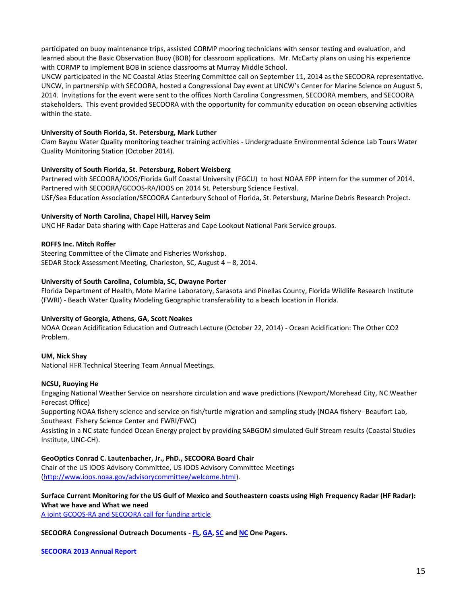participated on buoy maintenance trips, assisted CORMP mooring technicians with sensor testing and evaluation, and learned about the Basic Observation Buoy (BOB) for classroom applications. Mr. McCarty plans on using his experience with CORMP to implement BOB in science classrooms at Murray Middle School.

UNCW participated in the NC Coastal Atlas Steering Committee call on September 11, 2014 as the SECOORA representative. UNCW, in partnership with SECOORA, hosted a Congressional Day event at UNCW's Center for Marine Science on August 5, 2014. Invitations for the event were sent to the offices North Carolina Congressmen, SECOORA members, and SECOORA stakeholders. This event provided SECOORA with the opportunity for community education on ocean observing activities within the state.

#### **University of South Florida, St. Petersburg, Mark Luther**

Clam Bayou Water Quality monitoring teacher training activities - Undergraduate Environmental Science Lab Tours Water Quality Monitoring Station (October 2014).

#### **University of South Florida, St. Petersburg, Robert Weisberg**

Partnered with SECOORA/IOOS/Florida Gulf Coastal University (FGCU) to host NOAA EPP intern for the summer of 2014. Partnered with SECOORA/GCOOS-RA/IOOS on 2014 St. Petersburg Science Festival. USF/Sea Education Association/SECOORA Canterbury School of Florida, St. Petersburg, Marine Debris Research Project.

#### **University of North Carolina, Chapel Hill, Harvey Seim**

UNC HF Radar Data sharing with Cape Hatteras and Cape Lookout National Park Service groups.

#### **ROFFS Inc. Mitch Roffer**

Steering Committee of the Climate and Fisheries Workshop. SEDAR Stock Assessment Meeting, Charleston, SC, August 4 – 8, 2014.

#### **University of South Carolina, Columbia, SC, Dwayne Porter**

Florida Department of Health, Mote Marine Laboratory, Sarasota and Pinellas County, Florida Wildlife Research Institute (FWRI) - Beach Water Quality Modeling Geographic transferability to a beach location in Florida.

#### **University of Georgia, Athens, GA, Scott Noakes**

NOAA Ocean Acidification Education and Outreach Lecture (October 22, 2014) - Ocean Acidification: The Other CO2 Problem.

#### **UM, Nick Shay**

National HFR Technical Steering Team Annual Meetings.

#### **NCSU, Ruoying He**

Engaging National Weather Service on nearshore circulation and wave predictions (Newport/Morehead City, NC Weather Forecast Office)

Supporting NOAA fishery science and service on fish/turtle migration and sampling study (NOAA fishery- Beaufort Lab, Southeast Fishery Science Center and FWRI/FWC)

Assisting in a NC state funded Ocean Energy project by providing SABGOM simulated Gulf Stream results (Coastal Studies Institute, UNC-CH).

#### **GeoOptics Conrad C. Lautenbacher, Jr., PhD., SECOORA Board Chair**

Chair of the US IOOS Advisory Committee, US IOOS Advisory Committee Meetings [\(http://www.ioos.noaa.gov/advisorycommittee/welcome.html\)](http://www.ioos.noaa.gov/advisorycommittee/welcome.html).

**Surface Current Monitoring for the US Gulf of Mexico and Southeastern coasts using High Frequency Radar (HF Radar): What we have and What we need**

[A joint GCOOS-RA and SECOORA call for funding article](http://secoora.org/node/460)

#### **SECOORA Congressional Outreach Documents - [FL,](http://secoora.org/webfm_send/1076) [GA,](http://secoora.org/webfm_send/1077) [SC](http://secoora.org/webfm_send/1079) an[d NC](http://secoora.org/webfm_send/1078) One Pagers.**

#### **[SECOORA 2013 Annual Report](http://secoora.org/node/438)**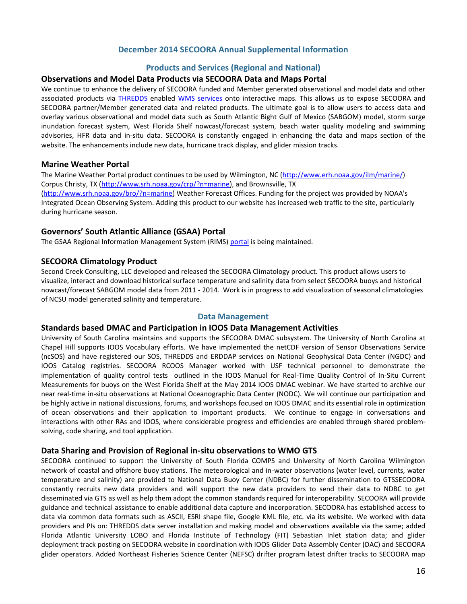### **December 2014 SECOORA Annual Supplemental Information**

#### **Products and Services (Regional and National)**

#### **Observations and Model Data Products via SECOORA Data and Maps Portal**

We continue to enhance the delivery of SECOORA funded and Member generated observational and model data and other associated products via [THREDDS](http://129.252.139.124/thredds/catalog.html) enabled [WMS services](http://129.252.139.124/ncWMS/godiva2.html) onto interactive maps. This allows us to expose SECOORA and SECOORA partner/Member generated data and related products. The ultimate goal is to allow users to access data and overlay various observational and model data such as South Atlantic Bight Gulf of Mexico (SABGOM) model, storm surge inundation forecast system, West Florida Shelf nowcast/forecast system, beach water quality modeling and swimming advisories, HFR data and in-situ data. SECOORA is constantly engaged in enhancing the data and maps section of the website. The enhancements include new data, hurricane track display, and glider mission tracks.

#### **Marine Weather Portal**

The Marine Weather Portal product continues to be used by Wilmington, NC [\(http://www.erh.noaa.gov/ilm/marine/\)](http://www.erh.noaa.gov/ilm/marine/) Corpus Christy, TX [\(http://www.srh.noaa.gov/crp/?n=marine\)](http://www.srh.noaa.gov/crp/?n=marine), and Brownsville, TX

[\(http://www.srh.noaa.gov/bro/?n=marine\)](http://www.srh.noaa.gov/bro/?n=marine) Weather Forecast Offices. Funding for the project was provided by NOAA's Integrated Ocean Observing System. Adding this product to our website has increased web traffic to the site, particularly during hurricane season.

#### **Governors' South Atlantic Alliance (GSAA) Portal**

The GSAA Regional Information Management System (RIMS) [portal](http://gsaaportal.org/) is being maintained.

#### **SECOORA Climatology Product**

Second Creek Consulting, LLC developed and released the SECOORA Climatology product. This product allows users to visualize, interact and download historical surface temperature and salinity data from select SECOORA buoys and historical nowcast/forecast SABGOM model data from 2011 - 2014. Work is in progress to add visualization of seasonal climatologies of NCSU model generated salinity and temperature.

#### **Data Management**

#### **Standards based DMAC and Participation in IOOS Data Management Activities**

University of South Carolina maintains and supports the SECOORA DMAC subsystem. The University of North Carolina at Chapel Hill supports IOOS Vocabulary efforts. We have implemented the netCDF version of Sensor Observations Service (ncSOS) and have registered our SOS, THREDDS and ERDDAP services on National Geophysical Data Center (NGDC) and IOOS Catalog registries. SECOORA RCOOS Manager worked with USF technical personnel to demonstrate the implementation of quality control tests outlined in the IOOS Manual for Real-Time Quality Control of In-Situ Current Measurements for buoys on the West Florida Shelf at the May 2014 IOOS DMAC webinar. We have started to archive our near real-time in-situ observations at National Oceanographic Data Center (NODC). We will continue our participation and be highly active in national discussions, forums, and workshops focused on IOOS DMAC and its essential role in optimization of ocean observations and their application to important products. We continue to engage in conversations and interactions with other RAs and IOOS, where considerable progress and efficiencies are enabled through shared problemsolving, code sharing, and tool application.

#### **Data Sharing and Provision of Regional in-situ observations to WMO GTS**

SECOORA continued to support the University of South Florida COMPS and University of North Carolina Wilmington network of coastal and offshore buoy stations. The meteorological and in-water observations (water level, currents, water temperature and salinity) are provided to National Data Buoy Center (NDBC) for further dissemination to GTSSECOORA constantly recruits new data providers and will support the new data providers to send their data to NDBC to get disseminated via GTS as well as help them adopt the common standards required for interoperability. SECOORA will provide guidance and technical assistance to enable additional data capture and incorporation. SECOORA has established access to data via common data formats such as ASCII, ESRI shape file, Google KML file, etc. via its website. We worked with data providers and PIs on: THREDDS data server installation and making model and observations available via the same; added Florida Atlantic University LOBO and Florida Institute of Technology (FIT) Sebastian Inlet station data; and glider deployment track posting on SECOORA website in coordination with IOOS Glider Data Assembly Center (DAC) and SECOORA glider operators. Added Northeast Fisheries Science Center (NEFSC) drifter program latest drifter tracks to SECOORA map